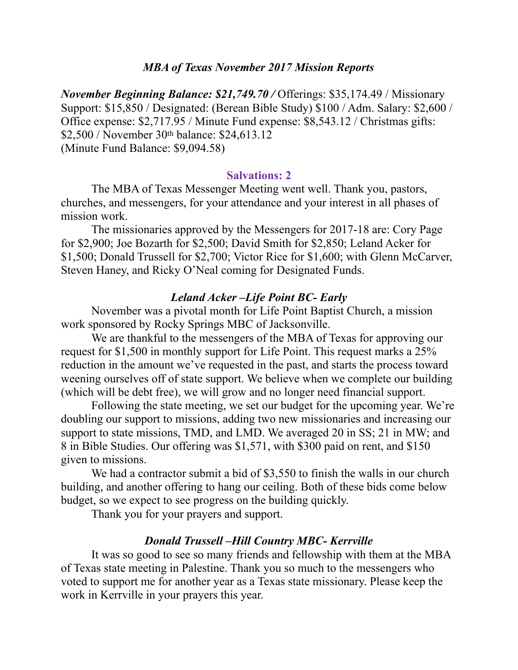### *MBA of Texas November 2017 Mission Reports*

*November Beginning Balance: \$21,749.70 /* Offerings: \$35,174.49 / Missionary Support: \$15,850 / Designated: (Berean Bible Study) \$100 / Adm. Salary: \$2,600 / Office expense: \$2,717.95 / Minute Fund expense: \$8,543.12 / Christmas gifts: \$2,500 / November 30th balance: \$24,613.12 (Minute Fund Balance: \$9,094.58)

### **Salvations: 2**

 The MBA of Texas Messenger Meeting went well. Thank you, pastors, churches, and messengers, for your attendance and your interest in all phases of mission work.

 The missionaries approved by the Messengers for 2017-18 are: Cory Page for \$2,900; Joe Bozarth for \$2,500; David Smith for \$2,850; Leland Acker for \$1,500; Donald Trussell for \$2,700; Victor Rice for \$1,600; with Glenn McCarver, Steven Haney, and Ricky O'Neal coming for Designated Funds.

#### *Leland Acker –Life Point BC- Early*

 November was a pivotal month for Life Point Baptist Church, a mission work sponsored by Rocky Springs MBC of Jacksonville.

 We are thankful to the messengers of the MBA of Texas for approving our request for \$1,500 in monthly support for Life Point. This request marks a 25% reduction in the amount we've requested in the past, and starts the process toward weening ourselves off of state support. We believe when we complete our building (which will be debt free), we will grow and no longer need financial support.

 Following the state meeting, we set our budget for the upcoming year. We're doubling our support to missions, adding two new missionaries and increasing our support to state missions, TMD, and LMD. We averaged 20 in SS; 21 in MW; and 8 in Bible Studies. Our offering was \$1,571, with \$300 paid on rent, and \$150 given to missions.

We had a contractor submit a bid of \$3,550 to finish the walls in our church building, and another offering to hang our ceiling. Both of these bids come below budget, so we expect to see progress on the building quickly.

Thank you for your prayers and support.

#### *Donald Trussell –Hill Country MBC- Kerrville*

 It was so good to see so many friends and fellowship with them at the MBA of Texas state meeting in Palestine. Thank you so much to the messengers who voted to support me for another year as a Texas state missionary. Please keep the work in Kerrville in your prayers this year.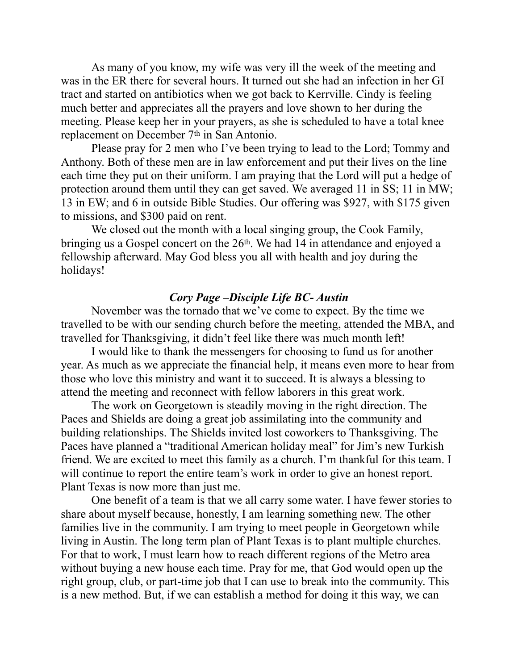As many of you know, my wife was very ill the week of the meeting and was in the ER there for several hours. It turned out she had an infection in her GI tract and started on antibiotics when we got back to Kerrville. Cindy is feeling much better and appreciates all the prayers and love shown to her during the meeting. Please keep her in your prayers, as she is scheduled to have a total knee replacement on December 7th in San Antonio.

 Please pray for 2 men who I've been trying to lead to the Lord; Tommy and Anthony. Both of these men are in law enforcement and put their lives on the line each time they put on their uniform. I am praying that the Lord will put a hedge of protection around them until they can get saved. We averaged 11 in SS; 11 in MW; 13 in EW; and 6 in outside Bible Studies. Our offering was \$927, with \$175 given to missions, and \$300 paid on rent.

 We closed out the month with a local singing group, the Cook Family, bringing us a Gospel concert on the 26<sup>th</sup>. We had 14 in attendance and enjoyed a fellowship afterward. May God bless you all with health and joy during the holidays!

#### *Cory Page –Disciple Life BC- Austin*

 November was the tornado that we've come to expect. By the time we travelled to be with our sending church before the meeting, attended the MBA, and travelled for Thanksgiving, it didn't feel like there was much month left!

 I would like to thank the messengers for choosing to fund us for another year. As much as we appreciate the financial help, it means even more to hear from those who love this ministry and want it to succeed. It is always a blessing to attend the meeting and reconnect with fellow laborers in this great work.

 The work on Georgetown is steadily moving in the right direction. The Paces and Shields are doing a great job assimilating into the community and building relationships. The Shields invited lost coworkers to Thanksgiving. The Paces have planned a "traditional American holiday meal" for Jim's new Turkish friend. We are excited to meet this family as a church. I'm thankful for this team. I will continue to report the entire team's work in order to give an honest report. Plant Texas is now more than just me.

 One benefit of a team is that we all carry some water. I have fewer stories to share about myself because, honestly, I am learning something new. The other families live in the community. I am trying to meet people in Georgetown while living in Austin. The long term plan of Plant Texas is to plant multiple churches. For that to work, I must learn how to reach different regions of the Metro area without buying a new house each time. Pray for me, that God would open up the right group, club, or part-time job that I can use to break into the community. This is a new method. But, if we can establish a method for doing it this way, we can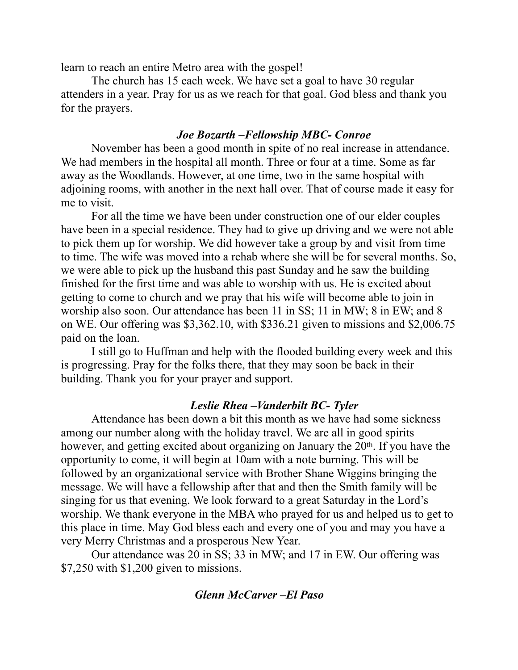learn to reach an entire Metro area with the gospel!

 The church has 15 each week. We have set a goal to have 30 regular attenders in a year. Pray for us as we reach for that goal. God bless and thank you for the prayers.

### *Joe Bozarth –Fellowship MBC- Conroe*

November has been a good month in spite of no real increase in attendance. We had members in the hospital all month. Three or four at a time. Some as far away as the Woodlands. However, at one time, two in the same hospital with adjoining rooms, with another in the next hall over. That of course made it easy for me to visit.

For all the time we have been under construction one of our elder couples have been in a special residence. They had to give up driving and we were not able to pick them up for worship. We did however take a group by and visit from time to time. The wife was moved into a rehab where she will be for several months. So, we were able to pick up the husband this past Sunday and he saw the building finished for the first time and was able to worship with us. He is excited about getting to come to church and we pray that his wife will become able to join in worship also soon. Our attendance has been 11 in SS; 11 in MW; 8 in EW; and 8 on WE. Our offering was \$3,362.10, with \$336.21 given to missions and \$2,006.75 paid on the loan.

I still go to Huffman and help with the flooded building every week and this is progressing. Pray for the folks there, that they may soon be back in their building. Thank you for your prayer and support.

### *Leslie Rhea –Vanderbilt BC- Tyler*

Attendance has been down a bit this month as we have had some sickness among our number along with the holiday travel. We are all in good spirits however, and getting excited about organizing on January the 20<sup>th</sup>. If you have the opportunity to come, it will begin at 10am with a note burning. This will be followed by an organizational service with Brother Shane Wiggins bringing the message. We will have a fellowship after that and then the Smith family will be singing for us that evening. We look forward to a great Saturday in the Lord's worship. We thank everyone in the MBA who prayed for us and helped us to get to this place in time. May God bless each and every one of you and may you have a very Merry Christmas and a prosperous New Year.

 Our attendance was 20 in SS; 33 in MW; and 17 in EW. Our offering was \$7,250 with \$1,200 given to missions.

# *Glenn McCarver –El Paso*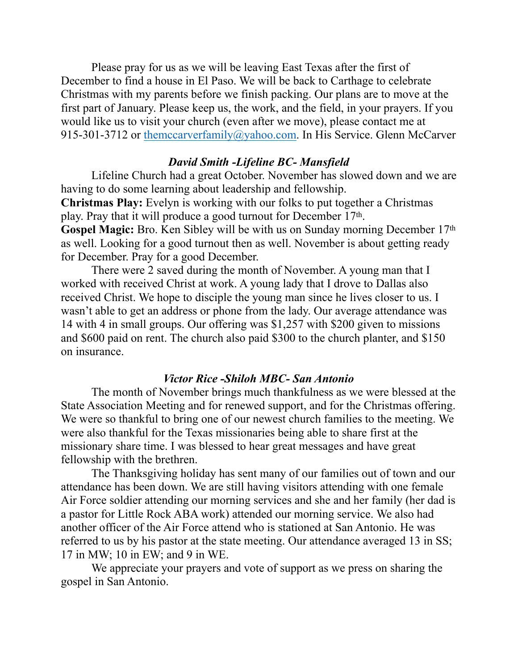Please pray for us as we will be leaving East Texas after the first of December to find a house in El Paso. We will be back to Carthage to celebrate Christmas with my parents before we finish packing. Our plans are to move at the first part of January. Please keep us, the work, and the field, in your prayers. If you would like us to visit your church (even after we move), please contact me at 915-301-3712 or [themccarverfamily@yahoo.com](mailto:themccarverfamily@yahoo.com). In His Service. Glenn McCarver

# *David Smith -Lifeline BC- Mansfield*

 Lifeline Church had a great October. November has slowed down and we are having to do some learning about leadership and fellowship.

**Christmas Play:** Evelyn is working with our folks to put together a Christmas play. Pray that it will produce a good turnout for December 17th.

**Gospel Magic:** Bro. Ken Sibley will be with us on Sunday morning December 17th as well. Looking for a good turnout then as well. November is about getting ready for December. Pray for a good December.

 There were 2 saved during the month of November. A young man that I worked with received Christ at work. A young lady that I drove to Dallas also received Christ. We hope to disciple the young man since he lives closer to us. I wasn't able to get an address or phone from the lady. Our average attendance was 14 with 4 in small groups. Our offering was \$1,257 with \$200 given to missions and \$600 paid on rent. The church also paid \$300 to the church planter, and \$150 on insurance.

# *Victor Rice -Shiloh MBC- San Antonio*

 The month of November brings much thankfulness as we were blessed at the State Association Meeting and for renewed support, and for the Christmas offering. We were so thankful to bring one of our newest church families to the meeting. We were also thankful for the Texas missionaries being able to share first at the missionary share time. I was blessed to hear great messages and have great fellowship with the brethren.

 The Thanksgiving holiday has sent many of our families out of town and our attendance has been down. We are still having visitors attending with one female Air Force soldier attending our morning services and she and her family (her dad is a pastor for Little Rock ABA work) attended our morning service. We also had another officer of the Air Force attend who is stationed at San Antonio. He was referred to us by his pastor at the state meeting. Our attendance averaged 13 in SS; 17 in MW; 10 in EW; and 9 in WE.

 We appreciate your prayers and vote of support as we press on sharing the gospel in San Antonio.